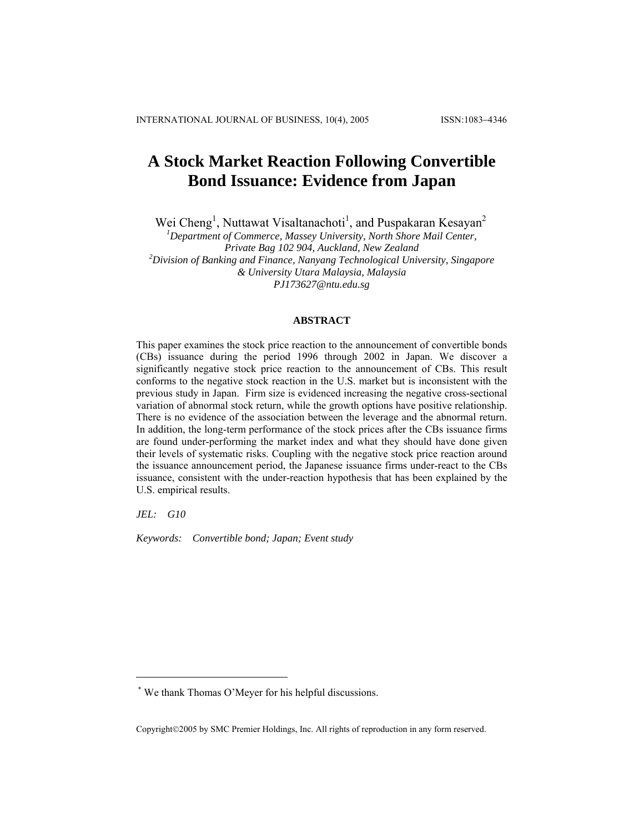# **A Stock Market Reaction Following Convertible Bond Issuance: Evidence from Japan**

Wei Cheng<sup>1</sup>, Nuttawat Visaltanachoti<sup>1</sup>, and Puspakaran Kesayan<sup>2</sup>

<sup>1</sup> Department of Commerce, Massey University, North Shore Mail Center, *Private Bag 102 904, Auckland, New Zealand 2 Division of Banking and Finance, Nanyang Technological University, Singapore & University Utara Malaysia, Malaysia [PJ173627@ntu.edu.sg](mailto:PJ173627@ntu.edu.sg)*

# **ABSTRACT**

This paper examines the stock price reaction to the announcement of convertible bonds (CBs) issuance during the period 1996 through 2002 in Japan. We discover a significantly negative stock price reaction to the announcement of CBs. This result conforms to the negative stock reaction in the U.S. market but is inconsistent with the previous study in Japan. Firm size is evidenced increasing the negative cross-sectional variation of abnormal stock return, while the growth options have positive relationship. There is no evidence of the association between the leverage and the abnormal return. In addition, the long-term performance of the stock prices after the CBs issuance firms are found under-performing the market index and what they should have done given their levels of systematic risks. Coupling with the negative stock price reaction around the issuance announcement period, the Japanese issuance firms under-react to the CBs issuance, consistent with the under-reaction hypothesis that has been explained by the U.S. empirical results.

*JEL: G10* 

 $\overline{a}$ 

*Keywords: Convertible bond; Japan; Event study* 

Copyright©2005 by SMC Premier Holdings, Inc. All rights of reproduction in any form reserved.

<sup>\*</sup> We thank Thomas O'Meyer for his helpful discussions.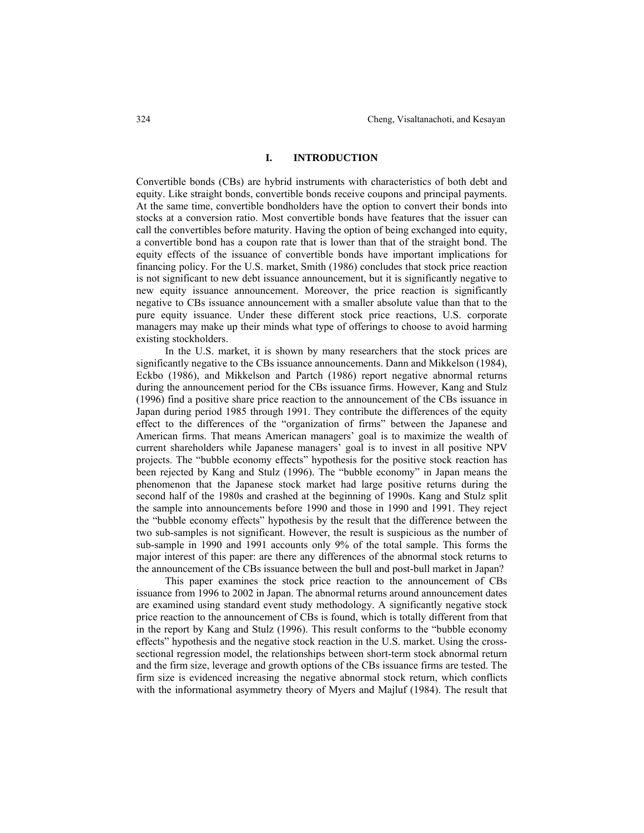# **I. INTRODUCTION**

Convertible bonds (CBs) are hybrid instruments with characteristics of both debt and equity. Like straight bonds, convertible bonds receive coupons and principal payments. At the same time, convertible bondholders have the option to convert their bonds into stocks at a conversion ratio. Most convertible bonds have features that the issuer can call the convertibles before maturity. Having the option of being exchanged into equity, a convertible bond has a coupon rate that is lower than that of the straight bond. The equity effects of the issuance of convertible bonds have important implications for financing policy. For the U.S. market, Smith (1986) concludes that stock price reaction is not significant to new debt issuance announcement, but it is significantly negative to new equity issuance announcement. Moreover, the price reaction is significantly negative to CBs issuance announcement with a smaller absolute value than that to the pure equity issuance. Under these different stock price reactions, U.S. corporate managers may make up their minds what type of offerings to choose to avoid harming existing stockholders.

In the U.S. market, it is shown by many researchers that the stock prices are significantly negative to the CBs issuance announcements. Dann and Mikkelson (1984), Eckbo (1986), and Mikkelson and Partch (1986) report negative abnormal returns during the announcement period for the CBs issuance firms. However, Kang and Stulz (1996) find a positive share price reaction to the announcement of the CBs issuance in Japan during period 1985 through 1991. They contribute the differences of the equity effect to the differences of the "organization of firms" between the Japanese and American firms. That means American managers' goal is to maximize the wealth of current shareholders while Japanese managers' goal is to invest in all positive NPV projects. The "bubble economy effects" hypothesis for the positive stock reaction has been rejected by Kang and Stulz (1996). The "bubble economy" in Japan means the phenomenon that the Japanese stock market had large positive returns during the second half of the 1980s and crashed at the beginning of 1990s. Kang and Stulz split the sample into announcements before 1990 and those in 1990 and 1991. They reject the "bubble economy effects" hypothesis by the result that the difference between the two sub-samples is not significant. However, the result is suspicious as the number of sub-sample in 1990 and 1991 accounts only 9% of the total sample. This forms the major interest of this paper: are there any differences of the abnormal stock returns to the announcement of the CBs issuance between the bull and post-bull market in Japan?

This paper examines the stock price reaction to the announcement of CBs issuance from 1996 to 2002 in Japan. The abnormal returns around announcement dates are examined using standard event study methodology. A significantly negative stock price reaction to the announcement of CBs is found, which is totally different from that in the report by Kang and Stulz (1996). This result conforms to the "bubble economy effects" hypothesis and the negative stock reaction in the U.S. market. Using the crosssectional regression model, the relationships between short-term stock abnormal return and the firm size, leverage and growth options of the CBs issuance firms are tested. The firm size is evidenced increasing the negative abnormal stock return, which conflicts with the informational asymmetry theory of Myers and Majluf (1984). The result that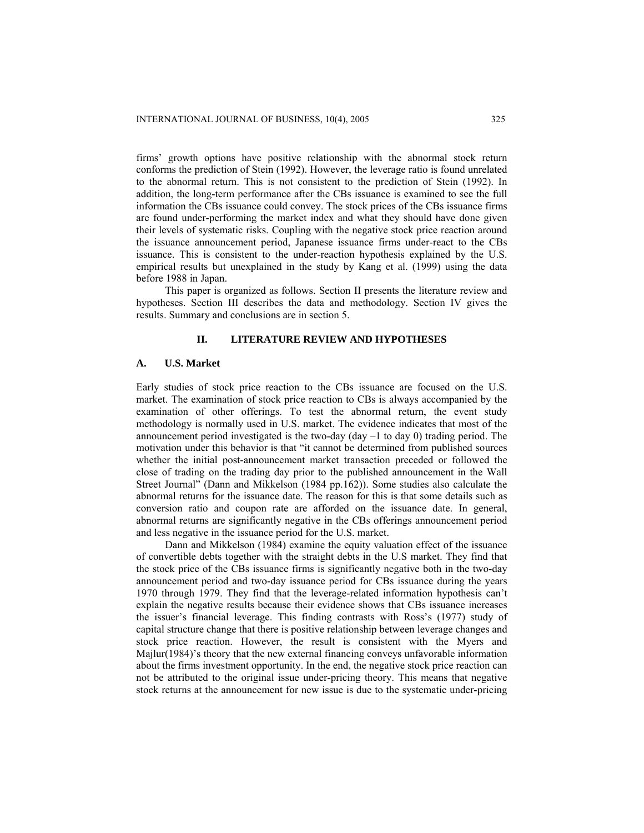firms' growth options have positive relationship with the abnormal stock return conforms the prediction of Stein (1992). However, the leverage ratio is found unrelated to the abnormal return. This is not consistent to the prediction of Stein (1992). In addition, the long-term performance after the CBs issuance is examined to see the full information the CBs issuance could convey. The stock prices of the CBs issuance firms are found under-performing the market index and what they should have done given their levels of systematic risks. Coupling with the negative stock price reaction around the issuance announcement period, Japanese issuance firms under-react to the CBs issuance. This is consistent to the under-reaction hypothesis explained by the U.S. empirical results but unexplained in the study by Kang et al. (1999) using the data before 1988 in Japan.

This paper is organized as follows. Section II presents the literature review and hypotheses. Section III describes the data and methodology. Section IV gives the results. Summary and conclusions are in section 5.

# **II. LITERATURE REVIEW AND HYPOTHESES**

# **A. U.S. Market**

Early studies of stock price reaction to the CBs issuance are focused on the U.S. market. The examination of stock price reaction to CBs is always accompanied by the examination of other offerings. To test the abnormal return, the event study methodology is normally used in U.S. market. The evidence indicates that most of the announcement period investigated is the two-day (day  $-1$  to day 0) trading period. The motivation under this behavior is that "it cannot be determined from published sources whether the initial post-announcement market transaction preceded or followed the close of trading on the trading day prior to the published announcement in the Wall Street Journal" (Dann and Mikkelson (1984 pp.162)). Some studies also calculate the abnormal returns for the issuance date. The reason for this is that some details such as conversion ratio and coupon rate are afforded on the issuance date. In general, abnormal returns are significantly negative in the CBs offerings announcement period and less negative in the issuance period for the U.S. market.

Dann and Mikkelson (1984) examine the equity valuation effect of the issuance of convertible debts together with the straight debts in the U.S market. They find that the stock price of the CBs issuance firms is significantly negative both in the two-day announcement period and two-day issuance period for CBs issuance during the years 1970 through 1979. They find that the leverage-related information hypothesis can't explain the negative results because their evidence shows that CBs issuance increases the issuer's financial leverage. This finding contrasts with Ross's (1977) study of capital structure change that there is positive relationship between leverage changes and stock price reaction. However, the result is consistent with the Myers and Majlur(1984)'s theory that the new external financing conveys unfavorable information about the firms investment opportunity. In the end, the negative stock price reaction can not be attributed to the original issue under-pricing theory. This means that negative stock returns at the announcement for new issue is due to the systematic under-pricing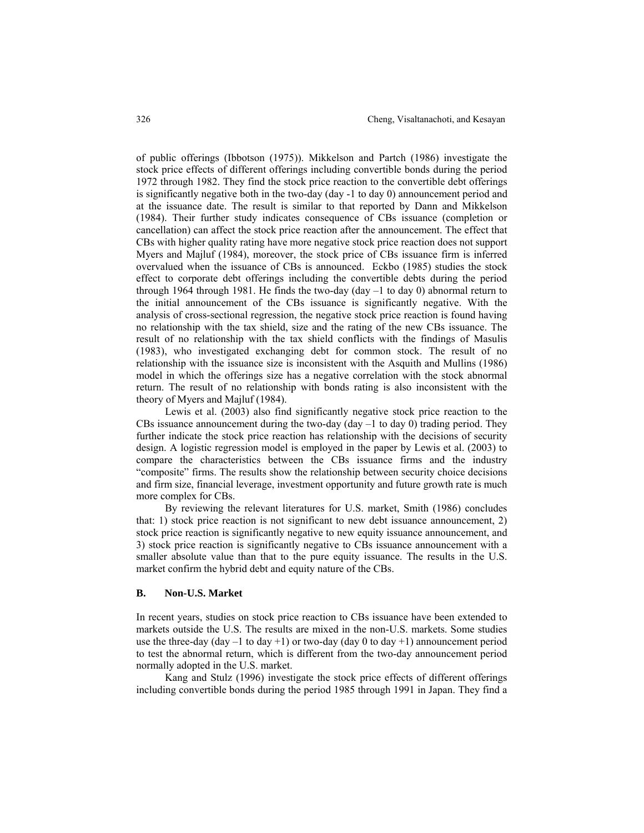of public offerings (Ibbotson (1975)). Mikkelson and Partch (1986) investigate the stock price effects of different offerings including convertible bonds during the period 1972 through 1982. They find the stock price reaction to the convertible debt offerings is significantly negative both in the two-day (day -1 to day 0) announcement period and at the issuance date. The result is similar to that reported by Dann and Mikkelson (1984). Their further study indicates consequence of CBs issuance (completion or cancellation) can affect the stock price reaction after the announcement. The effect that CBs with higher quality rating have more negative stock price reaction does not support Myers and Majluf (1984), moreover, the stock price of CBs issuance firm is inferred overvalued when the issuance of CBs is announced. Eckbo (1985) studies the stock effect to corporate debt offerings including the convertible debts during the period through 1964 through 1981. He finds the two-day (day  $-1$  to day 0) abnormal return to the initial announcement of the CBs issuance is significantly negative. With the analysis of cross-sectional regression, the negative stock price reaction is found having no relationship with the tax shield, size and the rating of the new CBs issuance. The result of no relationship with the tax shield conflicts with the findings of Masulis (1983), who investigated exchanging debt for common stock. The result of no relationship with the issuance size is inconsistent with the Asquith and Mullins (1986) model in which the offerings size has a negative correlation with the stock abnormal return. The result of no relationship with bonds rating is also inconsistent with the theory of Myers and Majluf (1984).

Lewis et al. (2003) also find significantly negative stock price reaction to the CBs issuance announcement during the two-day (day  $-1$  to day 0) trading period. They further indicate the stock price reaction has relationship with the decisions of security design. A logistic regression model is employed in the paper by Lewis et al. (2003) to compare the characteristics between the CBs issuance firms and the industry "composite" firms. The results show the relationship between security choice decisions and firm size, financial leverage, investment opportunity and future growth rate is much more complex for CBs.

By reviewing the relevant literatures for U.S. market, Smith (1986) concludes that: 1) stock price reaction is not significant to new debt issuance announcement, 2) stock price reaction is significantly negative to new equity issuance announcement, and 3) stock price reaction is significantly negative to CBs issuance announcement with a smaller absolute value than that to the pure equity issuance. The results in the U.S. market confirm the hybrid debt and equity nature of the CBs.

# **B. Non-U.S. Market**

In recent years, studies on stock price reaction to CBs issuance have been extended to markets outside the U.S. The results are mixed in the non-U.S. markets. Some studies use the three-day (day  $-1$  to day  $+1$ ) or two-day (day 0 to day  $+1$ ) announcement period to test the abnormal return, which is different from the two-day announcement period normally adopted in the U.S. market.

Kang and Stulz (1996) investigate the stock price effects of different offerings including convertible bonds during the period 1985 through 1991 in Japan. They find a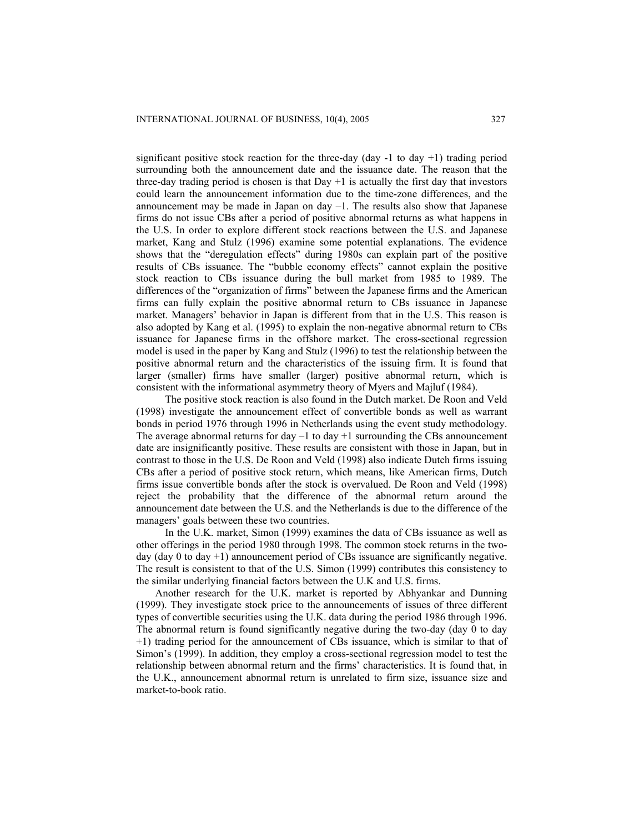significant positive stock reaction for the three-day (day  $-1$  to day  $+1$ ) trading period surrounding both the announcement date and the issuance date. The reason that the three-day trading period is chosen is that  $Day +1$  is actually the first day that investors could learn the announcement information due to the time-zone differences, and the announcement may be made in Japan on day  $-1$ . The results also show that Japanese firms do not issue CBs after a period of positive abnormal returns as what happens in the U.S. In order to explore different stock reactions between the U.S. and Japanese market, Kang and Stulz (1996) examine some potential explanations. The evidence shows that the "deregulation effects" during 1980s can explain part of the positive results of CBs issuance. The "bubble economy effects" cannot explain the positive stock reaction to CBs issuance during the bull market from 1985 to 1989. The differences of the "organization of firms" between the Japanese firms and the American firms can fully explain the positive abnormal return to CBs issuance in Japanese market. Managers' behavior in Japan is different from that in the U.S. This reason is also adopted by Kang et al. (1995) to explain the non-negative abnormal return to CBs issuance for Japanese firms in the offshore market. The cross-sectional regression model is used in the paper by Kang and Stulz (1996) to test the relationship between the positive abnormal return and the characteristics of the issuing firm. It is found that larger (smaller) firms have smaller (larger) positive abnormal return, which is consistent with the informational asymmetry theory of Myers and Majluf (1984).

The positive stock reaction is also found in the Dutch market. De Roon and Veld (1998) investigate the announcement effect of convertible bonds as well as warrant bonds in period 1976 through 1996 in Netherlands using the event study methodology. The average abnormal returns for day  $-1$  to day  $+1$  surrounding the CBs announcement date are insignificantly positive. These results are consistent with those in Japan, but in contrast to those in the U.S. De Roon and Veld (1998) also indicate Dutch firms issuing CBs after a period of positive stock return, which means, like American firms, Dutch firms issue convertible bonds after the stock is overvalued. De Roon and Veld (1998) reject the probability that the difference of the abnormal return around the announcement date between the U.S. and the Netherlands is due to the difference of the managers' goals between these two countries.

In the U.K. market, Simon (1999) examines the data of CBs issuance as well as other offerings in the period 1980 through 1998. The common stock returns in the twoday (day 0 to day  $+1$ ) announcement period of CBs issuance are significantly negative. The result is consistent to that of the U.S. Simon (1999) contributes this consistency to the similar underlying financial factors between the U.K and U.S. firms.

Another research for the U.K. market is reported by Abhyankar and Dunning (1999). They investigate stock price to the announcements of issues of three different types of convertible securities using the U.K. data during the period 1986 through 1996. The abnormal return is found significantly negative during the two-day (day 0 to day +1) trading period for the announcement of CBs issuance, which is similar to that of Simon's (1999). In addition, they employ a cross-sectional regression model to test the relationship between abnormal return and the firms' characteristics. It is found that, in the U.K., announcement abnormal return is unrelated to firm size, issuance size and market-to-book ratio.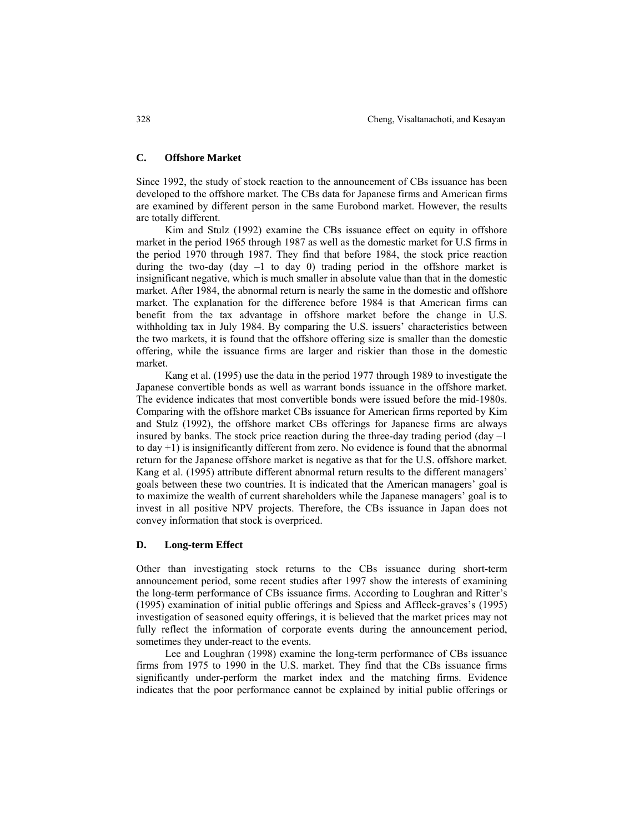# **C. Offshore Market**

Since 1992, the study of stock reaction to the announcement of CBs issuance has been developed to the offshore market. The CBs data for Japanese firms and American firms are examined by different person in the same Eurobond market. However, the results are totally different.

Kim and Stulz (1992) examine the CBs issuance effect on equity in offshore market in the period 1965 through 1987 as well as the domestic market for U.S firms in the period 1970 through 1987. They find that before 1984, the stock price reaction during the two-day (day  $-1$  to day 0) trading period in the offshore market is insignificant negative, which is much smaller in absolute value than that in the domestic market. After 1984, the abnormal return is nearly the same in the domestic and offshore market. The explanation for the difference before 1984 is that American firms can benefit from the tax advantage in offshore market before the change in U.S. withholding tax in July 1984. By comparing the U.S. issuers' characteristics between the two markets, it is found that the offshore offering size is smaller than the domestic offering, while the issuance firms are larger and riskier than those in the domestic market.

Kang et al. (1995) use the data in the period 1977 through 1989 to investigate the Japanese convertible bonds as well as warrant bonds issuance in the offshore market. The evidence indicates that most convertible bonds were issued before the mid-1980s. Comparing with the offshore market CBs issuance for American firms reported by Kim and Stulz (1992), the offshore market CBs offerings for Japanese firms are always insured by banks. The stock price reaction during the three-day trading period (day  $-1$ ) to day +1) is insignificantly different from zero. No evidence is found that the abnormal return for the Japanese offshore market is negative as that for the U.S. offshore market. Kang et al. (1995) attribute different abnormal return results to the different managers' goals between these two countries. It is indicated that the American managers' goal is to maximize the wealth of current shareholders while the Japanese managers' goal is to invest in all positive NPV projects. Therefore, the CBs issuance in Japan does not convey information that stock is overpriced.

# **D. Long-term Effect**

Other than investigating stock returns to the CBs issuance during short-term announcement period, some recent studies after 1997 show the interests of examining the long-term performance of CBs issuance firms. According to Loughran and Ritter's (1995) examination of initial public offerings and Spiess and Affleck-graves's (1995) investigation of seasoned equity offerings, it is believed that the market prices may not fully reflect the information of corporate events during the announcement period, sometimes they under-react to the events.

Lee and Loughran (1998) examine the long-term performance of CBs issuance firms from 1975 to 1990 in the U.S. market. They find that the CBs issuance firms significantly under-perform the market index and the matching firms. Evidence indicates that the poor performance cannot be explained by initial public offerings or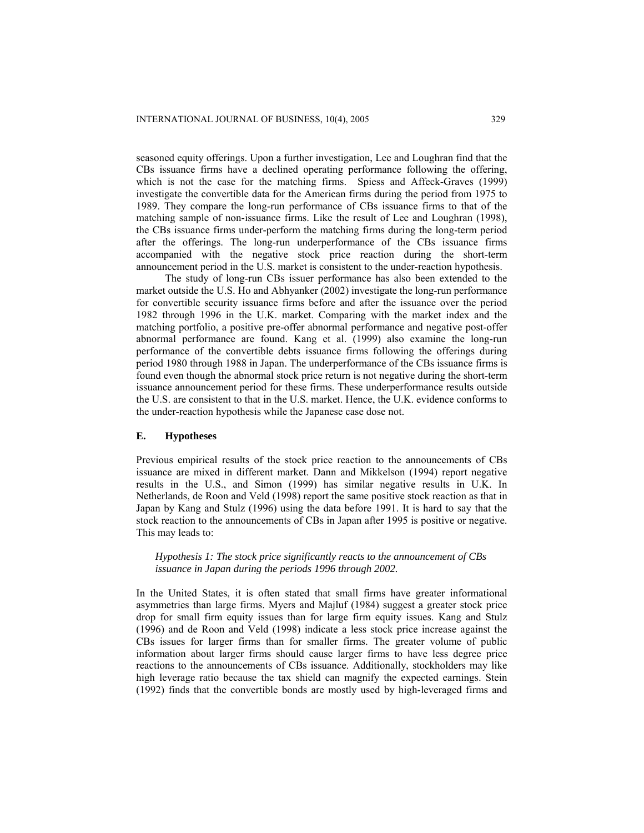seasoned equity offerings. Upon a further investigation, Lee and Loughran find that the CBs issuance firms have a declined operating performance following the offering, which is not the case for the matching firms. Spiess and Affeck-Graves (1999) investigate the convertible data for the American firms during the period from 1975 to 1989. They compare the long-run performance of CBs issuance firms to that of the matching sample of non-issuance firms. Like the result of Lee and Loughran (1998), the CBs issuance firms under-perform the matching firms during the long-term period after the offerings. The long-run underperformance of the CBs issuance firms accompanied with the negative stock price reaction during the short-term announcement period in the U.S. market is consistent to the under-reaction hypothesis.

The study of long-run CBs issuer performance has also been extended to the market outside the U.S. Ho and Abhyanker (2002) investigate the long-run performance for convertible security issuance firms before and after the issuance over the period 1982 through 1996 in the U.K. market. Comparing with the market index and the matching portfolio, a positive pre-offer abnormal performance and negative post-offer abnormal performance are found. Kang et al. (1999) also examine the long-run performance of the convertible debts issuance firms following the offerings during period 1980 through 1988 in Japan. The underperformance of the CBs issuance firms is found even though the abnormal stock price return is not negative during the short-term issuance announcement period for these firms. These underperformance results outside the U.S. are consistent to that in the U.S. market. Hence, the U.K. evidence conforms to the under-reaction hypothesis while the Japanese case dose not.

# **E. Hypotheses**

Previous empirical results of the stock price reaction to the announcements of CBs issuance are mixed in different market. Dann and Mikkelson (1994) report negative results in the U.S., and Simon (1999) has similar negative results in U.K. In Netherlands, de Roon and Veld (1998) report the same positive stock reaction as that in Japan by Kang and Stulz (1996) using the data before 1991. It is hard to say that the stock reaction to the announcements of CBs in Japan after 1995 is positive or negative. This may leads to:

*Hypothesis 1: The stock price significantly reacts to the announcement of CBs issuance in Japan during the periods 1996 through 2002.* 

In the United States, it is often stated that small firms have greater informational asymmetries than large firms. Myers and Majluf (1984) suggest a greater stock price drop for small firm equity issues than for large firm equity issues. Kang and Stulz (1996) and de Roon and Veld (1998) indicate a less stock price increase against the CBs issues for larger firms than for smaller firms. The greater volume of public information about larger firms should cause larger firms to have less degree price reactions to the announcements of CBs issuance. Additionally, stockholders may like high leverage ratio because the tax shield can magnify the expected earnings. Stein (1992) finds that the convertible bonds are mostly used by high-leveraged firms and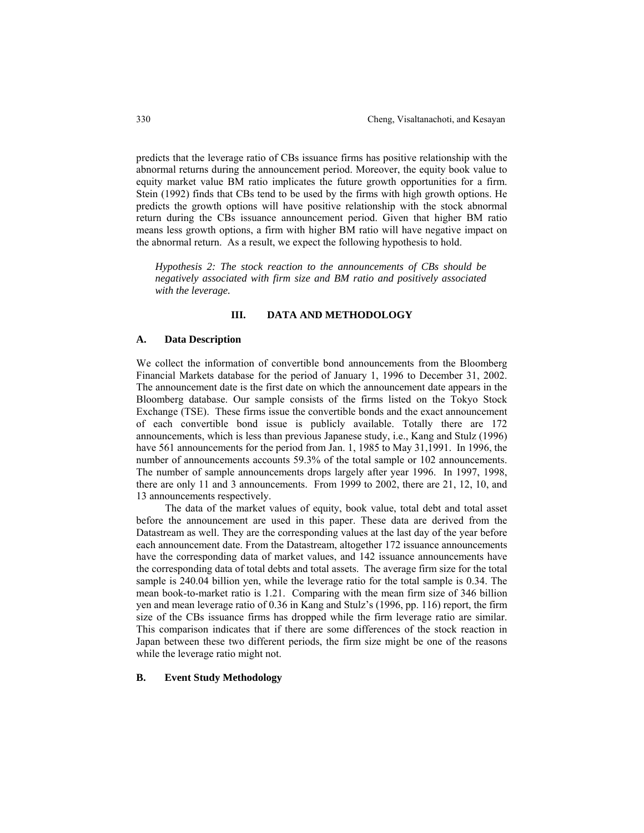predicts that the leverage ratio of CBs issuance firms has positive relationship with the abnormal returns during the announcement period. Moreover, the equity book value to equity market value BM ratio implicates the future growth opportunities for a firm. Stein (1992) finds that CBs tend to be used by the firms with high growth options. He predicts the growth options will have positive relationship with the stock abnormal return during the CBs issuance announcement period. Given that higher BM ratio means less growth options, a firm with higher BM ratio will have negative impact on the abnormal return. As a result, we expect the following hypothesis to hold.

*Hypothesis 2: The stock reaction to the announcements of CBs should be negatively associated with firm size and BM ratio and positively associated with the leverage.* 

# **III. DATA AND METHODOLOGY**

## **A. Data Description**

We collect the information of convertible bond announcements from the Bloomberg Financial Markets database for the period of January 1, 1996 to December 31, 2002. The announcement date is the first date on which the announcement date appears in the Bloomberg database. Our sample consists of the firms listed on the Tokyo Stock Exchange (TSE). These firms issue the convertible bonds and the exact announcement of each convertible bond issue is publicly available. Totally there are 172 announcements, which is less than previous Japanese study, i.e., Kang and Stulz (1996) have 561 announcements for the period from Jan. 1, 1985 to May 31,1991. In 1996, the number of announcements accounts 59.3% of the total sample or 102 announcements. The number of sample announcements drops largely after year 1996. In 1997, 1998, there are only 11 and 3 announcements. From 1999 to 2002, there are 21, 12, 10, and 13 announcements respectively.

The data of the market values of equity, book value, total debt and total asset before the announcement are used in this paper. These data are derived from the Datastream as well. They are the corresponding values at the last day of the year before each announcement date. From the Datastream, altogether 172 issuance announcements have the corresponding data of market values, and 142 issuance announcements have the corresponding data of total debts and total assets. The average firm size for the total sample is 240.04 billion yen, while the leverage ratio for the total sample is 0.34. The mean book-to-market ratio is 1.21. Comparing with the mean firm size of 346 billion yen and mean leverage ratio of 0.36 in Kang and Stulz's (1996, pp. 116) report, the firm size of the CBs issuance firms has dropped while the firm leverage ratio are similar. This comparison indicates that if there are some differences of the stock reaction in Japan between these two different periods, the firm size might be one of the reasons while the leverage ratio might not.

## **B. Event Study Methodology**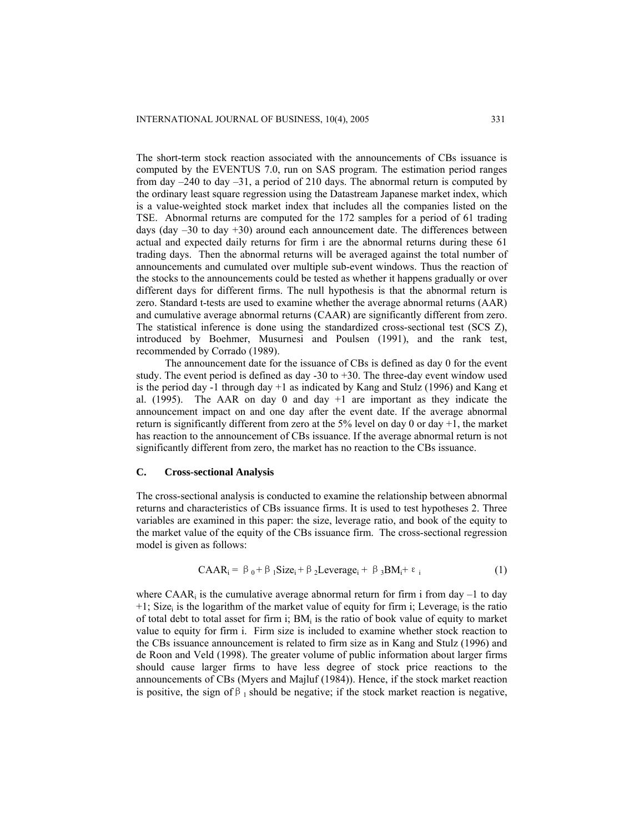The short-term stock reaction associated with the announcements of CBs issuance is computed by the EVENTUS 7.0, run on SAS program. The estimation period ranges from day  $-240$  to day  $-31$ , a period of 210 days. The abnormal return is computed by the ordinary least square regression using the Datastream Japanese market index, which is a value-weighted stock market index that includes all the companies listed on the TSE. Abnormal returns are computed for the 172 samples for a period of 61 trading days (day  $-30$  to day  $+30$ ) around each announcement date. The differences between actual and expected daily returns for firm i are the abnormal returns during these 61 trading days. Then the abnormal returns will be averaged against the total number of announcements and cumulated over multiple sub-event windows. Thus the reaction of the stocks to the announcements could be tested as whether it happens gradually or over different days for different firms. The null hypothesis is that the abnormal return is zero. Standard t-tests are used to examine whether the average abnormal returns (AAR) and cumulative average abnormal returns (CAAR) are significantly different from zero. The statistical inference is done using the standardized cross-sectional test (SCS Z), introduced by Boehmer, Musurnesi and Poulsen (1991), and the rank test, recommended by Corrado (1989).

The announcement date for the issuance of CBs is defined as day 0 for the event study. The event period is defined as day -30 to +30. The three-day event window used is the period day -1 through day  $+1$  as indicated by Kang and Stulz (1996) and Kang et al.  $(1995)$ . The AAR on day 0 and day  $+1$  are important as they indicate the announcement impact on and one day after the event date. If the average abnormal return is significantly different from zero at the  $5\%$  level on day 0 or day +1, the market has reaction to the announcement of CBs issuance. If the average abnormal return is not significantly different from zero, the market has no reaction to the CBs issuance.

#### **C. Cross-sectional Analysis**

The cross-sectional analysis is conducted to examine the relationship between abnormal returns and characteristics of CBs issuance firms. It is used to test hypotheses 2. Three variables are examined in this paper: the size, leverage ratio, and book of the equity to the market value of the equity of the CBs issuance firm. The cross-sectional regression model is given as follows:

$$
CABA_i = \beta_0 + \beta_1 Size_i + \beta_2 Leverage_i + \beta_3 BM_i + \varepsilon_i
$$
 (1)

where CAAR<sub>i</sub> is the cumulative average abnormal return for firm i from day  $-1$  to day  $+1$ ; Size<sub>i</sub> is the logarithm of the market value of equity for firm i; Leverage<sub>i</sub> is the ratio of total debt to total asset for firm i;  $BM<sub>i</sub>$  is the ratio of book value of equity to market value to equity for firm i. Firm size is included to examine whether stock reaction to the CBs issuance announcement is related to firm size as in Kang and Stulz (1996) and de Roon and Veld (1998). The greater volume of public information about larger firms should cause larger firms to have less degree of stock price reactions to the announcements of CBs (Myers and Majluf (1984)). Hence, if the stock market reaction is positive, the sign of  $\beta_1$  should be negative; if the stock market reaction is negative,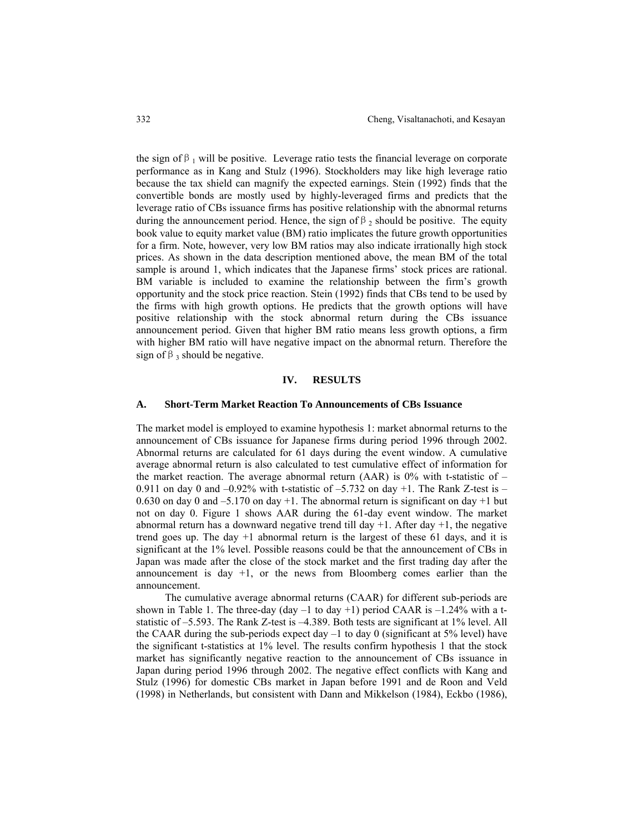the sign of  $\beta_1$  will be positive. Leverage ratio tests the financial leverage on corporate performance as in Kang and Stulz (1996). Stockholders may like high leverage ratio because the tax shield can magnify the expected earnings. Stein (1992) finds that the convertible bonds are mostly used by highly-leveraged firms and predicts that the leverage ratio of CBs issuance firms has positive relationship with the abnormal returns during the announcement period. Hence, the sign of  $\beta_2$  should be positive. The equity book value to equity market value (BM) ratio implicates the future growth opportunities for a firm. Note, however, very low BM ratios may also indicate irrationally high stock prices. As shown in the data description mentioned above, the mean BM of the total sample is around 1, which indicates that the Japanese firms' stock prices are rational. BM variable is included to examine the relationship between the firm's growth opportunity and the stock price reaction. Stein (1992) finds that CBs tend to be used by the firms with high growth options. He predicts that the growth options will have positive relationship with the stock abnormal return during the CBs issuance announcement period. Given that higher BM ratio means less growth options, a firm with higher BM ratio will have negative impact on the abnormal return. Therefore the sign of  $\beta$ <sub>3</sub> should be negative.

# **IV. RESULTS**

## **A. Short-Term Market Reaction To Announcements of CBs Issuance**

The market model is employed to examine hypothesis 1: market abnormal returns to the announcement of CBs issuance for Japanese firms during period 1996 through 2002. Abnormal returns are calculated for 61 days during the event window. A cumulative average abnormal return is also calculated to test cumulative effect of information for the market reaction. The average abnormal return  $(AAR)$  is 0% with t-statistic of – 0.911 on day 0 and  $-0.92\%$  with t-statistic of  $-5.732$  on day  $+1$ . The Rank Z-test is  $-$ 0.630 on day 0 and  $-5.170$  on day +1. The abnormal return is significant on day +1 but not on day 0. Figure 1 shows AAR during the 61-day event window. The market abnormal return has a downward negative trend till day  $+1$ . After day  $+1$ , the negative trend goes up. The day +1 abnormal return is the largest of these 61 days, and it is significant at the 1% level. Possible reasons could be that the announcement of CBs in Japan was made after the close of the stock market and the first trading day after the announcement is day  $+1$ , or the news from Bloomberg comes earlier than the announcement.

The cumulative average abnormal returns (CAAR) for different sub-periods are shown in Table 1. The three-day (day  $-1$  to day  $+1$ ) period CAAR is  $-1.24\%$  with a tstatistic of –5.593. The Rank Z-test is –4.389. Both tests are significant at 1% level. All the CAAR during the sub-periods expect day  $-1$  to day 0 (significant at 5% level) have the significant t-statistics at 1% level. The results confirm hypothesis 1 that the stock market has significantly negative reaction to the announcement of CBs issuance in Japan during period 1996 through 2002. The negative effect conflicts with Kang and Stulz (1996) for domestic CBs market in Japan before 1991 and de Roon and Veld (1998) in Netherlands, but consistent with Dann and Mikkelson (1984), Eckbo (1986),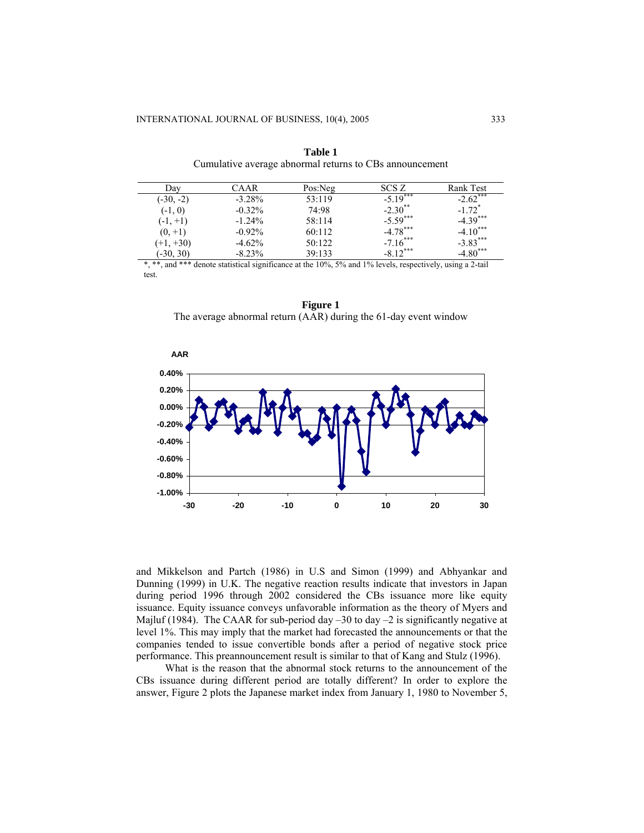| Dav         | ∑AAR      | Pos:Neg | SCS Z                       | Rank Test                   |  |  |
|-------------|-----------|---------|-----------------------------|-----------------------------|--|--|
| $(-30, -2)$ | $-3.28%$  | 53:119  | ***<br>$-5.19$ <sup>*</sup> | ***<br>$-2.62$ <sup>*</sup> |  |  |
| $(-1, 0)$   | $-0.32\%$ | 74:98   | $-2.30**$                   | $-172$ <sup>*</sup>         |  |  |
| $(-1, +1)$  | $-1.24%$  | 58:114  | $-5.59***$                  | $-4.39***$                  |  |  |
| $(0, +1)$   | $-0.92\%$ | 60:112  | $-4.78***$                  | $-4.10***$                  |  |  |
| $(+1, +30)$ | $-4.62%$  | 50:122  | $-7.16***$                  | $-3.83***$                  |  |  |
| $(-30, 30)$ | $-8.23\%$ | 39:133  | $-8.12***$                  | $-4.80$ ***                 |  |  |
|             |           |         |                             |                             |  |  |

**Table 1** Cumulative average abnormal returns to CBs announcement

statistical significance at the  $10\%$ , 5% and 1% levels, respectively, using a 2-tail test.

**Figure 1**  The average abnormal return (AAR) during the 61-day event window



and Mikkelson and Partch (1986) in U.S and Simon (1999) and Abhyankar and Dunning (1999) in U.K. The negative reaction results indicate that investors in Japan during period 1996 through 2002 considered the CBs issuance more like equity issuance. Equity issuance conveys unfavorable information as the theory of Myers and Majluf (1984). The CAAR for sub-period day –30 to day –2 is significantly negative at level 1%. This may imply that the market had forecasted the announcements or that the companies tended to issue convertible bonds after a period of negative stock price performance. This preannouncement result is similar to that of Kang and Stulz (1996).

What is the reason that the abnormal stock returns to the announcement of the CBs issuance during different period are totally different? In order to explore the answer, Figure 2 plots the Japanese market index from January 1, 1980 to November 5,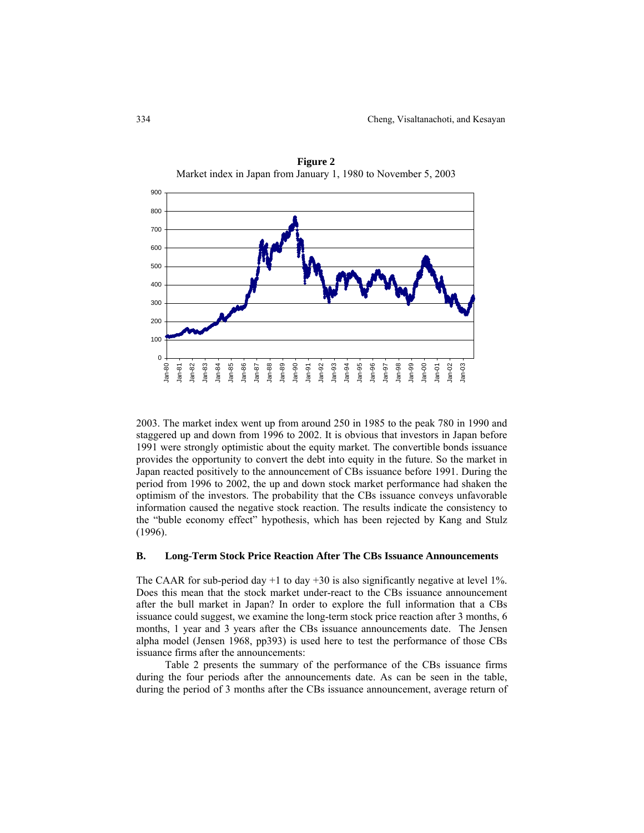

**Figure 2**  Market index in Japan from January 1, 1980 to November 5, 2003

2003. The market index went up from around 250 in 1985 to the peak 780 in 1990 and staggered up and down from 1996 to 2002. It is obvious that investors in Japan before 1991 were strongly optimistic about the equity market. The convertible bonds issuance provides the opportunity to convert the debt into equity in the future. So the market in Japan reacted positively to the announcement of CBs issuance before 1991. During the period from 1996 to 2002, the up and down stock market performance had shaken the optimism of the investors. The probability that the CBs issuance conveys unfavorable information caused the negative stock reaction. The results indicate the consistency to the "buble economy effect" hypothesis, which has been rejected by Kang and Stulz (1996).

# **B. Long-Term Stock Price Reaction After The CBs Issuance Announcements**

The CAAR for sub-period day  $+1$  to day  $+30$  is also significantly negative at level 1%. Does this mean that the stock market under-react to the CBs issuance announcement after the bull market in Japan? In order to explore the full information that a CBs issuance could suggest, we examine the long-term stock price reaction after 3 months, 6 months, 1 year and 3 years after the CBs issuance announcements date. The Jensen alpha model (Jensen 1968, pp393) is used here to test the performance of those CBs issuance firms after the announcements:

Table 2 presents the summary of the performance of the CBs issuance firms during the four periods after the announcements date. As can be seen in the table, during the period of 3 months after the CBs issuance announcement, average return of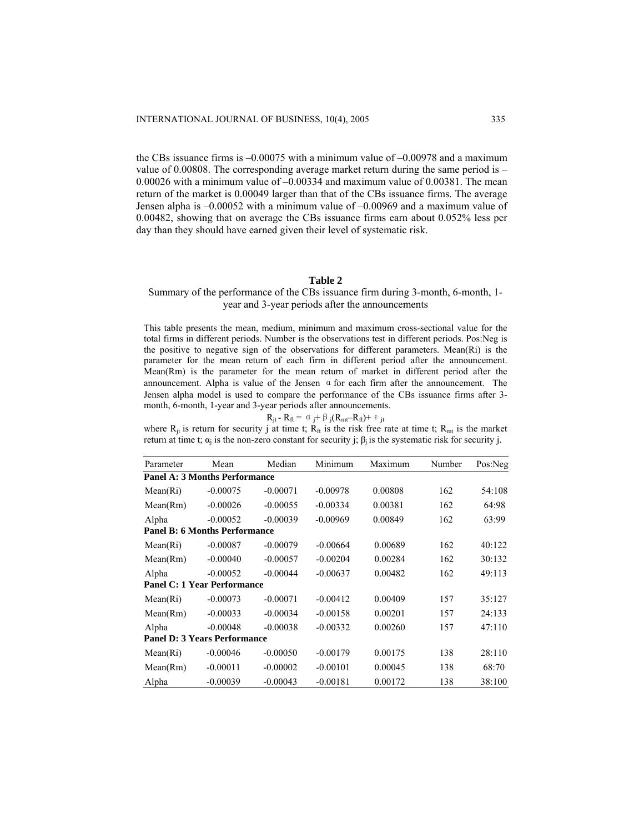the CBs issuance firms is –0.00075 with a minimum value of –0.00978 and a maximum value of 0.00808. The corresponding average market return during the same period is – 0.00026 with a minimum value of –0.00334 and maximum value of 0.00381. The mean return of the market is 0.00049 larger than that of the CBs issuance firms. The average Jensen alpha is –0.00052 with a minimum value of –0.00969 and a maximum value of 0.00482, showing that on average the CBs issuance firms earn about 0.052% less per day than they should have earned given their level of systematic risk.

# **Table 2**

# Summary of the performance of the CBs issuance firm during 3-month, 6-month, 1 year and 3-year periods after the announcements

This table presents the mean, medium, minimum and maximum cross-sectional value for the total firms in different periods. Number is the observations test in different periods. Pos:Neg is the positive to negative sign of the observations for different parameters. Mean(Ri) is the parameter for the mean return of each firm in different period after the announcement. Mean(Rm) is the parameter for the mean return of market in different period after the announcement. Alpha is value of the Jensen  $\alpha$  for each firm after the announcement. The Jensen alpha model is used to compare the performance of the CBs issuance firms after 3 month, 6-month, 1-year and 3-year periods after announcements.

$$
R_{jt} - R_{ft} = \alpha_j + \beta_j (R_{mt} - R_{ft}) + \epsilon_{jt}
$$

where  $R_{it}$  is return for security j at time t;  $R_{ft}$  is the risk free rate at time t;  $R_{mt}$  is the market return at time t;  $\alpha_i$  is the non-zero constant for security j;  $\beta_i$  is the systematic risk for security j.

| Parameter                            | Mean       | Median     | Minimum    | Maximum | Number | Pos:Neg |  |  |
|--------------------------------------|------------|------------|------------|---------|--------|---------|--|--|
| <b>Panel A: 3 Months Performance</b> |            |            |            |         |        |         |  |  |
| Mean(Ri)                             | $-0.00075$ | $-0.00071$ | $-0.00978$ | 0.00808 | 162    | 54:108  |  |  |
| Mean(Rm)                             | $-0.00026$ | $-0.00055$ | $-0.00334$ | 0.00381 | 162    | 64:98   |  |  |
| Alpha                                | $-0.00052$ | $-0.00039$ | $-0.00969$ | 0.00849 | 162    | 63:99   |  |  |
| <b>Panel B: 6 Months Performance</b> |            |            |            |         |        |         |  |  |
| Mean(Ri)                             | $-0.00087$ | $-0.00079$ | $-0.00664$ | 0.00689 | 162    | 40:122  |  |  |
| Mean(Rm)                             | $-0.00040$ | $-0.00057$ | $-0.00204$ | 0.00284 | 162    | 30:132  |  |  |
| Alpha                                | $-0.00052$ | $-0.00044$ | $-0.00637$ | 0.00482 | 162    | 49:113  |  |  |
| <b>Panel C: 1 Year Performance</b>   |            |            |            |         |        |         |  |  |
| Mean(Ri)                             | $-0.00073$ | $-0.00071$ | $-0.00412$ | 0.00409 | 157    | 35:127  |  |  |
| Mean(Rm)                             | $-0.00033$ | $-0.00034$ | $-0.00158$ | 0.00201 | 157    | 24:133  |  |  |
| Alpha                                | $-0.00048$ | $-0.00038$ | $-0.00332$ | 0.00260 | 157    | 47:110  |  |  |
| <b>Panel D: 3 Years Performance</b>  |            |            |            |         |        |         |  |  |
| Mean(Ri)                             | $-0.00046$ | $-0.00050$ | $-0.00179$ | 0.00175 | 138    | 28:110  |  |  |
| Mean(Rm)                             | $-0.00011$ | $-0.00002$ | $-0.00101$ | 0.00045 | 138    | 68:70   |  |  |
| Alpha                                | $-0.00039$ | $-0.00043$ | $-0.00181$ | 0.00172 | 138    | 38:100  |  |  |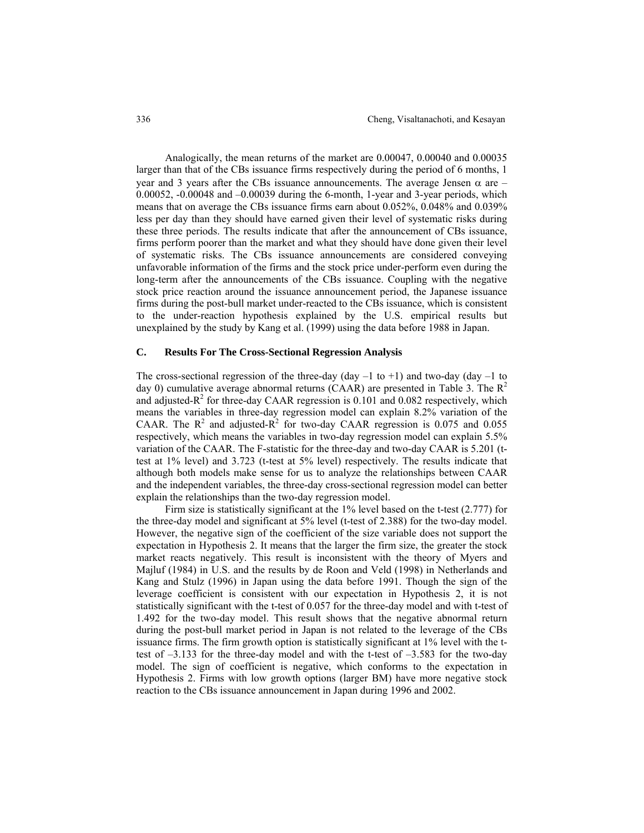Analogically, the mean returns of the market are 0.00047, 0.00040 and 0.00035 larger than that of the CBs issuance firms respectively during the period of 6 months, 1 year and 3 years after the CBs issuance announcements. The average Jensen  $\alpha$  are – 0.00052, -0.00048 and –0.00039 during the 6-month, 1-year and 3-year periods, which means that on average the CBs issuance firms earn about 0.052%, 0.048% and 0.039% less per day than they should have earned given their level of systematic risks during these three periods. The results indicate that after the announcement of CBs issuance, firms perform poorer than the market and what they should have done given their level of systematic risks. The CBs issuance announcements are considered conveying unfavorable information of the firms and the stock price under-perform even during the long-term after the announcements of the CBs issuance. Coupling with the negative stock price reaction around the issuance announcement period, the Japanese issuance firms during the post-bull market under-reacted to the CBs issuance, which is consistent to the under-reaction hypothesis explained by the U.S. empirical results but unexplained by the study by Kang et al. (1999) using the data before 1988 in Japan.

## **C. Results For The Cross-Sectional Regression Analysis**

The cross-sectional regression of the three-day (day  $-1$  to  $+1$ ) and two-day (day  $-1$  to day 0) cumulative average abnormal returns (CAAR) are presented in Table 3. The  $R^2$ and adjusted- $R^2$  for three-day CAAR regression is 0.101 and 0.082 respectively, which means the variables in three-day regression model can explain 8.2% variation of the CAAR. The  $R^2$  and adjusted- $R^2$  for two-day CAAR regression is 0.075 and 0.055 respectively, which means the variables in two-day regression model can explain 5.5% variation of the CAAR. The F-statistic for the three-day and two-day CAAR is 5.201 (ttest at 1% level) and 3.723 (t-test at 5% level) respectively. The results indicate that although both models make sense for us to analyze the relationships between CAAR and the independent variables, the three-day cross-sectional regression model can better explain the relationships than the two-day regression model.

Firm size is statistically significant at the 1% level based on the t-test (2.777) for the three-day model and significant at 5% level (t-test of 2.388) for the two-day model. However, the negative sign of the coefficient of the size variable does not support the expectation in Hypothesis 2. It means that the larger the firm size, the greater the stock market reacts negatively. This result is inconsistent with the theory of Myers and Majluf (1984) in U.S. and the results by de Roon and Veld (1998) in Netherlands and Kang and Stulz (1996) in Japan using the data before 1991. Though the sign of the leverage coefficient is consistent with our expectation in Hypothesis 2, it is not statistically significant with the t-test of 0.057 for the three-day model and with t-test of 1.492 for the two-day model. This result shows that the negative abnormal return during the post-bull market period in Japan is not related to the leverage of the CBs issuance firms. The firm growth option is statistically significant at 1% level with the ttest of  $-3.133$  for the three-day model and with the t-test of  $-3.583$  for the two-day model. The sign of coefficient is negative, which conforms to the expectation in Hypothesis 2. Firms with low growth options (larger BM) have more negative stock reaction to the CBs issuance announcement in Japan during 1996 and 2002.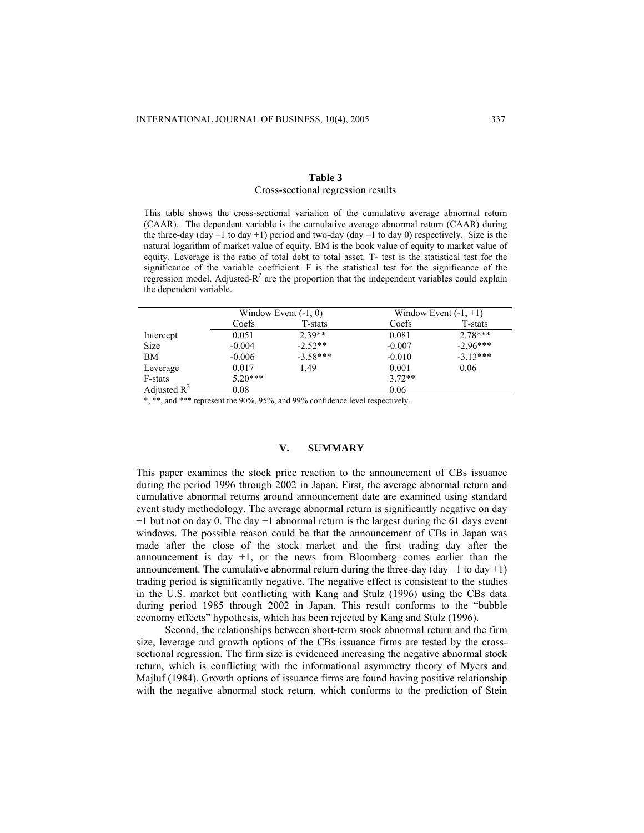# **Table 3** Cross-sectional regression results

This table shows the cross-sectional variation of the cumulative average abnormal return (CAAR). The dependent variable is the cumulative average abnormal return (CAAR) during the three-day (day  $-1$  to day  $+1$ ) period and two-day (day  $-1$  to day 0) respectively. Size is the natural logarithm of market value of equity. BM is the book value of equity to market value of equity. Leverage is the ratio of total debt to total asset. T- test is the statistical test for the significance of the variable coefficient. F is the statistical test for the significance of the regression model. Adjusted- $R^2$  are the proportion that the independent variables could explain the dependent variable.

|                | Window Event $(-1, 0)$ |            | Window Event $(-1, +1)$ |            |
|----------------|------------------------|------------|-------------------------|------------|
|                | Coefs                  | T-stats    | Coefs                   | T-stats    |
| Intercept      | 0.051                  | $2.39**$   | 0.081                   | $2.78***$  |
| <b>Size</b>    | $-0.004$               | $-2.52**$  | $-0.007$                | $-2.96***$ |
| ΒM             | $-0.006$               | $-3.58***$ | $-0.010$                | $-3.13***$ |
| Leverage       | 0.017                  | 1.49       | 0.001                   | 0.06       |
| F-stats        | $5.20***$              |            | $3.72**$                |            |
| Adjusted $R^2$ | 0.08                   |            | 0.06                    |            |
|                |                        |            |                         |            |

\*, \*\*, and \*\*\* represent the 90%, 95%, and 99% confidence level respectively.

# **V. SUMMARY**

This paper examines the stock price reaction to the announcement of CBs issuance during the period 1996 through 2002 in Japan. First, the average abnormal return and cumulative abnormal returns around announcement date are examined using standard event study methodology. The average abnormal return is significantly negative on day +1 but not on day 0. The day +1 abnormal return is the largest during the 61 days event windows. The possible reason could be that the announcement of CBs in Japan was made after the close of the stock market and the first trading day after the announcement is day  $+1$ , or the news from Bloomberg comes earlier than the announcement. The cumulative abnormal return during the three-day (day  $-1$  to day  $+1$ ) trading period is significantly negative. The negative effect is consistent to the studies in the U.S. market but conflicting with Kang and Stulz (1996) using the CBs data during period 1985 through 2002 in Japan. This result conforms to the "bubble economy effects" hypothesis, which has been rejected by Kang and Stulz (1996).

Second, the relationships between short-term stock abnormal return and the firm size, leverage and growth options of the CBs issuance firms are tested by the crosssectional regression. The firm size is evidenced increasing the negative abnormal stock return, which is conflicting with the informational asymmetry theory of Myers and Majluf (1984). Growth options of issuance firms are found having positive relationship with the negative abnormal stock return, which conforms to the prediction of Stein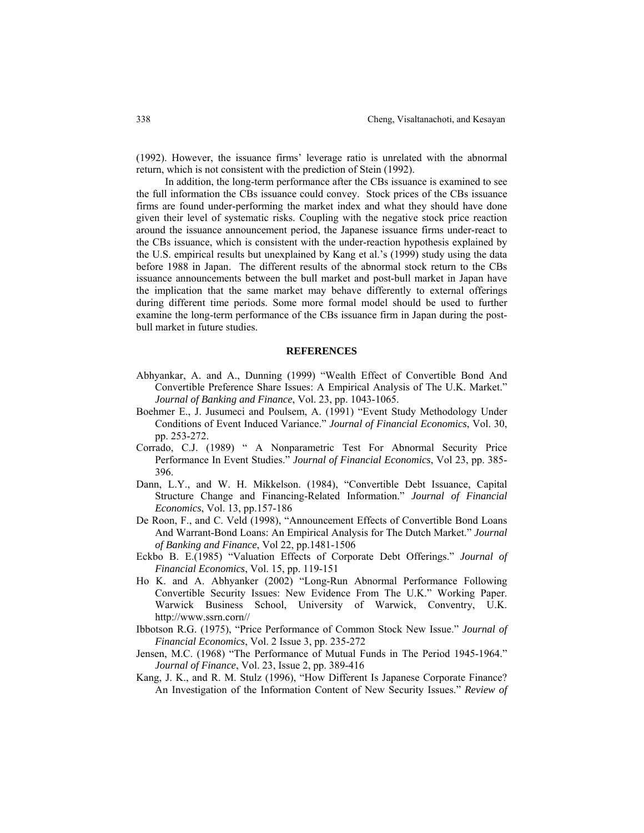(1992). However, the issuance firms' leverage ratio is unrelated with the abnormal return, which is not consistent with the prediction of Stein (1992).

In addition, the long-term performance after the CBs issuance is examined to see the full information the CBs issuance could convey. Stock prices of the CBs issuance firms are found under-performing the market index and what they should have done given their level of systematic risks. Coupling with the negative stock price reaction around the issuance announcement period, the Japanese issuance firms under-react to the CBs issuance, which is consistent with the under-reaction hypothesis explained by the U.S. empirical results but unexplained by Kang et al.'s (1999) study using the data before 1988 in Japan. The different results of the abnormal stock return to the CBs issuance announcements between the bull market and post-bull market in Japan have the implication that the same market may behave differently to external offerings during different time periods. Some more formal model should be used to further examine the long-term performance of the CBs issuance firm in Japan during the postbull market in future studies.

# **REFERENCES**

- Abhyankar, A. and A., Dunning (1999) "Wealth Effect of Convertible Bond And Convertible Preference Share Issues: A Empirical Analysis of The U.K. Market." *Journal of Banking and Finance*, Vol. 23, pp. 1043-1065.
- Boehmer E., J. Jusumeci and Poulsem, A. (1991) "Event Study Methodology Under Conditions of Event Induced Variance." *Journal of Financial Economics*, Vol. 30, pp. 253-272.
- Corrado, C.J. (1989) " A Nonparametric Test For Abnormal Security Price Performance In Event Studies." *Journal of Financial Economics*, Vol 23, pp. 385- 396.
- Dann, L.Y., and W. H. Mikkelson. (1984), "Convertible Debt Issuance, Capital Structure Change and Financing-Related Information." *Journal of Financial Economics*, Vol. 13, pp.157-186
- De Roon, F., and C. Veld (1998), "Announcement Effects of Convertible Bond Loans And Warrant-Bond Loans: An Empirical Analysis for The Dutch Market." *Journal of Banking and Finance*, Vol 22, pp.1481-1506
- Eckbo B. E.(1985) "Valuation Effects of Corporate Debt Offerings." *Journal of Financial Economics*, Vol. 15, pp. 119-151
- Ho K. and A. Abhyanker (2002) "Long-Run Abnormal Performance Following Convertible Security Issues: New Evidence From The U.K." Working Paper. Warwick Business School, University of Warwick, Conventry, U.K. http://www.ssrn.corn//
- Ibbotson R.G. (1975), "Price Performance of Common Stock New Issue." *Journal of Financial Economics*, Vol. 2 Issue 3, pp. 235-272
- Jensen, M.C. (1968) "The Performance of Mutual Funds in The Period 1945-1964." *Journal of Finance*, Vol. 23, Issue 2, pp. 389-416
- Kang, J. K., and R. M. Stulz (1996), "How Different Is Japanese Corporate Finance? An Investigation of the Information Content of New Security Issues." *Review of*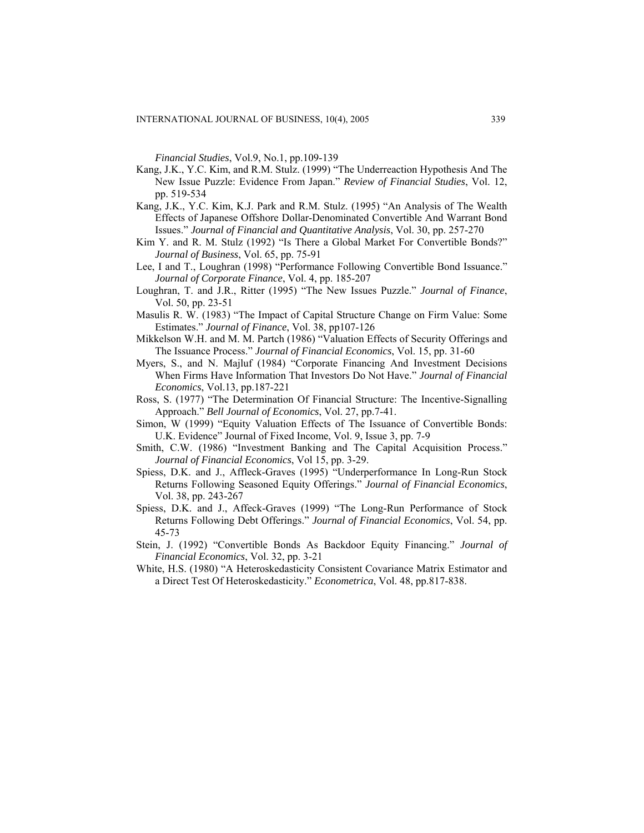*Financial Studies*, Vol.9, No.1, pp.109-139

- Kang, J.K., Y.C. Kim, and R.M. Stulz. (1999) "The Underreaction Hypothesis And The New Issue Puzzle: Evidence From Japan." *Review of Financial Studies*, Vol. 12, pp. 519-534
- Kang, J.K., Y.C. Kim, K.J. Park and R.M. Stulz. (1995) "An Analysis of The Wealth Effects of Japanese Offshore Dollar-Denominated Convertible And Warrant Bond Issues." *Journal of Financial and Quantitative Analysis*, Vol. 30, pp. 257-270
- Kim Y. and R. M. Stulz (1992) "Is There a Global Market For Convertible Bonds?" *Journal of Business*, Vol. 65, pp. 75-91
- Lee, I and T., Loughran (1998) "Performance Following Convertible Bond Issuance." *Journal of Corporate Finance*, Vol. 4, pp. 185-207
- Loughran, T. and J.R., Ritter (1995) "The New Issues Puzzle." *Journal of Finance*, Vol. 50, pp. 23-51
- Masulis R. W. (1983) "The Impact of Capital Structure Change on Firm Value: Some Estimates." *Journal of Finance*, Vol. 38, pp107-126
- Mikkelson W.H. and M. M. Partch (1986) "Valuation Effects of Security Offerings and The Issuance Process." *Journal of Financial Economics*, Vol. 15, pp. 31-60
- Myers, S., and N. Majluf (1984) "Corporate Financing And Investment Decisions When Firms Have Information That Investors Do Not Have." *Journal of Financial Economics*, Vol.13, pp.187-221
- Ross, S. (1977) "The Determination Of Financial Structure: The Incentive-Signalling Approach." *Bell Journal of Economics*, Vol. 27, pp.7-41.
- Simon, W (1999) "Equity Valuation Effects of The Issuance of Convertible Bonds: U.K. Evidence" Journal of Fixed Income, Vol. 9, Issue 3, pp. 7-9
- Smith, C.W. (1986) "Investment Banking and The Capital Acquisition Process." *Journal of Financial Economics*, Vol 15, pp. 3-29.
- Spiess, D.K. and J., Affleck-Graves (1995) "Underperformance In Long-Run Stock Returns Following Seasoned Equity Offerings." *Journal of Financial Economics*, Vol. 38, pp. 243-267
- Spiess, D.K. and J., Affeck-Graves (1999) "The Long-Run Performance of Stock Returns Following Debt Offerings." *Journal of Financial Economics*, Vol. 54, pp. 45-73
- Stein, J. (1992) "Convertible Bonds As Backdoor Equity Financing." *Journal of Financial Economics*, Vol. 32, pp. 3-21
- White, H.S. (1980) "A Heteroskedasticity Consistent Covariance Matrix Estimator and a Direct Test Of Heteroskedasticity." *Econometrica*, Vol. 48, pp.817-838.